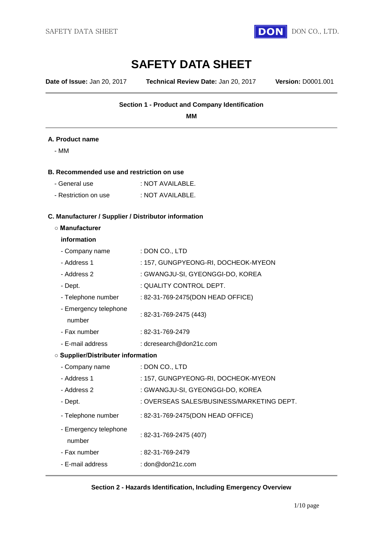

# **SAFETY DATA SHEET**

**Date of Issue:** Jan 20, 2017 **Technical Review Date:** Jan 20, 2017 **Version:** D0001.001

### **Section 1 - Product and Company Identification**

**MM**

#### **A. Product name**

- MM

#### **B. Recommended use and restriction on use**

| - General use        | : NOT AVAILABLE. |
|----------------------|------------------|
| - Restriction on use | : NOT AVAILABLE. |

# **C. Manufacturer / Supplier / Distributor information**

#### **○ Manufacturer**

#### **information**

| - Company name                            | : DON CO., LTD                            |  |  |
|-------------------------------------------|-------------------------------------------|--|--|
| - Address 1                               | : 157, GUNGPYEONG-RI, DOCHEOK-MYEON       |  |  |
| - Address 2                               | : GWANGJU-SI, GYEONGGI-DO, KOREA          |  |  |
| - Dept.                                   | : QUALITY CONTROL DEPT.                   |  |  |
| - Telephone number                        | : 82-31-769-2475(DON HEAD OFFICE)         |  |  |
| - Emergency telephone<br>number           | : 82-31-769-2475 (443)                    |  |  |
| - Fax number                              | : 82-31-769-2479                          |  |  |
| - E-mail address                          | : dcresearch@don21c.com                   |  |  |
| <b>O Supplier/Distributer information</b> |                                           |  |  |
| - Company name                            | : DON CO., LTD                            |  |  |
| - Address 1                               | : 157, GUNGPYEONG-RI, DOCHEOK-MYEON       |  |  |
| - Address 2                               | : GWANGJU-SI, GYEONGGI-DO, KOREA          |  |  |
| - Dept.                                   | : OVERSEAS SALES/BUSINESS/MARKETING DEPT. |  |  |
| - Telephone number                        | : 82-31-769-2475(DON HEAD OFFICE)         |  |  |
| - Emergency telephone<br>number           | : 82-31-769-2475 (407)                    |  |  |
| - Fax number                              | : 82-31-769-2479                          |  |  |
| - E-mail address                          | : $\text{don@don21c.com}$                 |  |  |

#### **Section 2 - Hazards Identification, Including Emergency Overview**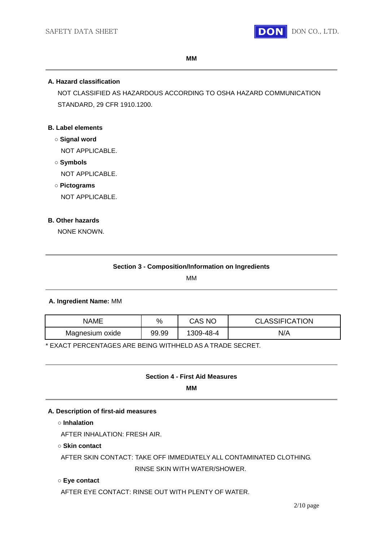

**MM**

#### **A. Hazard classification**

NOT CLASSIFIED AS HAZARDOUS ACCORDING TO OSHA HAZARD COMMUNICATION STANDARD, 29 CFR 1910.1200.

#### **B. Label elements**

- **○ Signal word** NOT APPLICABLE.
- **○ Symbols** NOT APPLICABLE.
- **○ Pictograms**

NOT APPLICABLE.

#### **B. Other hazards**

NONE KNOWN.

| <b>Section 3 - Composition/Information on Ingredients</b> |
|-----------------------------------------------------------|
|-----------------------------------------------------------|

MM

#### **A. Ingredient Name:** MM

| <b>NAME</b>     | $\%$  | CAS NO    | <b>CLASSIFICATION</b> |
|-----------------|-------|-----------|-----------------------|
| Magnesium oxide | 99.99 | 1309-48-4 | N/A                   |

\* EXACT PERCENTAGES ARE BEING WITHHELD AS A TRADE SECRET.

#### **Section 4 - First Aid Measures**

**MM**

#### **A. Description of first-aid measures**

**○ Inhalation**

AFTER INHALATION: FRESH AIR.

#### **○ Skin contact**

AFTER SKIN CONTACT: TAKE OFF IMMEDIATELY ALL CONTAMINATED CLOTHING. RINSE SKIN WITH WATER/SHOWER.

#### **○ Eye contact**

AFTER EYE CONTACT: RINSE OUT WITH PLENTY OF WATER.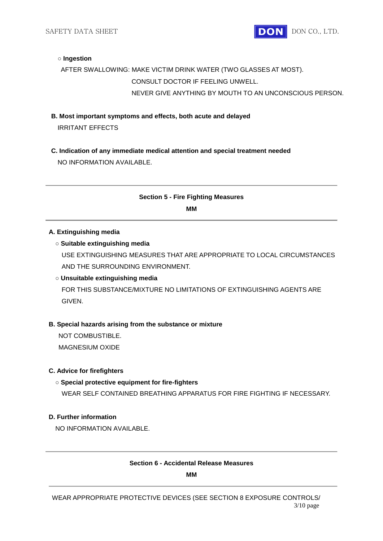SAFETY DATA SHEET **DON** DON CO., LTD.

#### **○ Ingestion**

## AFTER SWALLOWING: MAKE VICTIM DRINK WATER (TWO GLASSES AT MOST). CONSULT DOCTOR IF FEELING UNWELL. NEVER GIVE ANYTHING BY MOUTH TO AN UNCONSCIOUS PERSON.

- **B. Most important symptoms and effects, both acute and delayed** IRRITANT EFFECTS
- **C. Indication of any immediate medical attention and special treatment needed** NO INFORMATION AVAILABLE.

## **Section 5 - Fire Fighting Measures**

**MM**

#### **A. Extinguishing media**

#### **○ Suitable extinguishing media**

USE EXTINGUISHING MEASURES THAT ARE APPROPRIATE TO LOCAL CIRCUMSTANCES AND THE SURROUNDING ENVIRONMENT.

#### **○ Unsuitable extinguishing media**

FOR THIS SUBSTANCE/MIXTURE NO LIMITATIONS OF EXTINGUISHING AGENTS ARE GIVEN.

#### **B. Special hazards arising from the substance or mixture**

NOT COMBUSTIBLE.

MAGNESIUM OXIDE

#### **C. Advice for firefighters**

#### **○ Special protective equipment for fire-fighters**

WEAR SELF CONTAINED BREATHING APPARATUS FOR FIRE FIGHTING IF NECESSARY.

#### **D. Further information**

NO INFORMATION AVAILABLE.

#### **Section 6 - Accidental Release Measures**

**MM**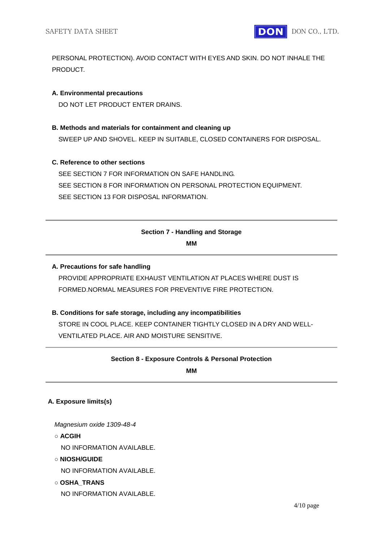

PERSONAL PROTECTION). AVOID CONTACT WITH EYES AND SKIN. DO NOT INHALE THE PRODUCT.

#### **A. Environmental precautions**

DO NOT LET PRODUCT ENTER DRAINS.

#### **B. Methods and materials for containment and cleaning up**

SWEEP UP AND SHOVEL. KEEP IN SUITABLE, CLOSED CONTAINERS FOR DISPOSAL.

#### **C. Reference to other sections**

SEE SECTION 7 FOR INFORMATION ON SAFE HANDLING. SEE SECTION 8 FOR INFORMATION ON PERSONAL PROTECTION EQUIPMENT. SEE SECTION 13 FOR DISPOSAL INFORMATION.

# **Section 7 - Handling and Storage**

**MM**

#### **A. Precautions for safe handling**

PROVIDE APPROPRIATE EXHAUST VENTILATION AT PLACES WHERE DUST IS FORMED.NORMAL MEASURES FOR PREVENTIVE FIRE PROTECTION.

#### **B. Conditions for safe storage, including any incompatibilities**

STORE IN COOL PLACE. KEEP CONTAINER TIGHTLY CLOSED IN A DRY AND WELL-VENTILATED PLACE. AIR AND MOISTURE SENSITIVE.

#### **Section 8 - Exposure Controls & Personal Protection**

**MM**

#### **A. Exposure limits(s)**

*Magnesium oxide 1309-48-4*

**○ ACGIH**

NO INFORMATION AVAILABLE.

**○ NIOSH/GUIDE**

NO INFORMATION AVAILABLE.

**○ OSHA\_TRANS** NO INFORMATION AVAILABLE.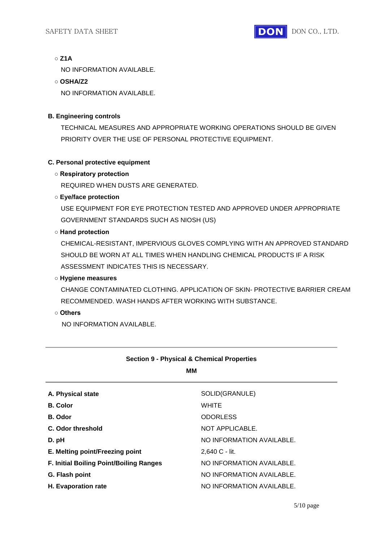#### **○ Z1A**

NO INFORMATION AVAILABLE.

#### **○ OSHA/Z2**

NO INFORMATION AVAILABLE.

#### **B. Engineering controls**

TECHNICAL MEASURES AND APPROPRIATE WORKING OPERATIONS SHOULD BE GIVEN PRIORITY OVER THE USE OF PERSONAL PROTECTIVE EQUIPMENT.

#### **C. Personal protective equipment**

#### **○ Respiratory protection**

REQUIRED WHEN DUSTS ARE GENERATED.

#### **○ Eye/face protection**

USE EQUIPMENT FOR EYE PROTECTION TESTED AND APPROVED UNDER APPROPRIATE GOVERNMENT STANDARDS SUCH AS NIOSH (US)

#### **○ Hand protection**

CHEMICAL-RESISTANT, IMPERVIOUS GLOVES COMPLYING WITH AN APPROVED STANDARD SHOULD BE WORN AT ALL TIMES WHEN HANDLING CHEMICAL PRODUCTS IF A RISK ASSESSMENT INDICATES THIS IS NECESSARY.

#### **○ Hygiene measures**

CHANGE CONTAMINATED CLOTHING. APPLICATION OF SKIN- PROTECTIVE BARRIER CREAM RECOMMENDED. WASH HANDS AFTER WORKING WITH SUBSTANCE.

#### **○ Others**

NO INFORMATION AVAILABLE.

## **Section 9 - Physical & Chemical Properties**

**MM**

| A. Physical state                       | SOLID(GRANULE)            |
|-----------------------------------------|---------------------------|
| <b>B.</b> Color                         | <b>WHITE</b>              |
| <b>B.</b> Odor                          | <b>ODORLESS</b>           |
| C. Odor threshold                       | NOT APPLICABLE.           |
| D. pH                                   | NO INFORMATION AVAILABLE. |
| E. Melting point/Freezing point         | 2,640 C - lit.            |
| F. Initial Boiling Point/Boiling Ranges | NO INFORMATION AVAILABLE. |
| G. Flash point                          | NO INFORMATION AVAILABLE. |
| H. Evaporation rate                     | NO INFORMATION AVAILABLE. |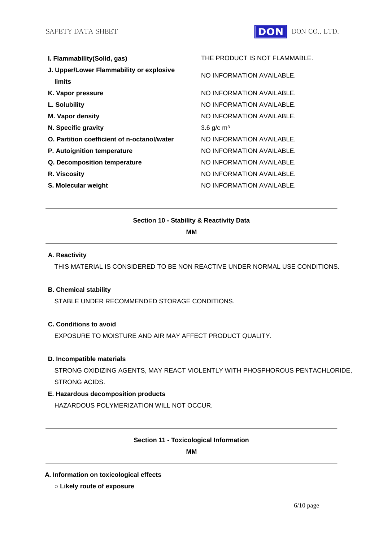

| I. Flammability (Solid, gas)                       | THE PRODUCT IS NOT FLAMMABLE. |
|----------------------------------------------------|-------------------------------|
| J. Upper/Lower Flammability or explosive<br>limits | NO INFORMATION AVAILABLE.     |
| K. Vapor pressure                                  | NO INFORMATION AVAILABLE.     |
| L. Solubility                                      | NO INFORMATION AVAILABLE.     |
| <b>M. Vapor density</b>                            | NO INFORMATION AVAILABLE.     |
| N. Specific gravity                                | 3.6 $g/c$ m <sup>3</sup>      |
| O. Partition coefficient of n-octanol/water        | NO INFORMATION AVAILABLE.     |
| P. Autoignition temperature                        | NO INFORMATION AVAILABLE.     |
| Q. Decomposition temperature                       | NO INFORMATION AVAILABLE.     |
| R. Viscosity                                       | NO INFORMATION AVAILABLE.     |
| S. Molecular weight                                | NO INFORMATION AVAILABLE.     |

#### **Section 10 - Stability & Reactivity Data**

**MM**

#### **A. Reactivity**

THIS MATERIAL IS CONSIDERED TO BE NON REACTIVE UNDER NORMAL USE CONDITIONS.

#### **B. Chemical stability**

STABLE UNDER RECOMMENDED STORAGE CONDITIONS.

#### **C. Conditions to avoid**

EXPOSURE TO MOISTURE AND AIR MAY AFFECT PRODUCT QUALITY.

#### **D. Incompatible materials**

STRONG OXIDIZING AGENTS, MAY REACT VIOLENTLY WITH PHOSPHOROUS PENTACHLORIDE, STRONG ACIDS.

#### **E. Hazardous decomposition products**

HAZARDOUS POLYMERIZATION WILL NOT OCCUR.

#### **Section 11 - Toxicological Information**

**MM**

#### **A. Information on toxicological effects**

**○ Likely route of exposure**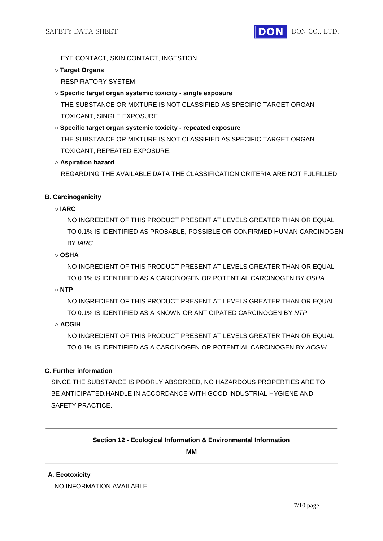EYE CONTACT, SKIN CONTACT, INGESTION

**○ Target Organs**

RESPIRATORY SYSTEM

## **○ Specific target organ systemic toxicity - single exposure**

THE SUBSTANCE OR MIXTURE IS NOT CLASSIFIED AS SPECIFIC TARGET ORGAN TOXICANT, SINGLE EXPOSURE.

## **○ Specific target organ systemic toxicity - repeated exposure** THE SUBSTANCE OR MIXTURE IS NOT CLASSIFIED AS SPECIFIC TARGET ORGAN TOXICANT, REPEATED EXPOSURE.

## **○ Aspiration hazard**

REGARDING THE AVAILABLE DATA THE CLASSIFICATION CRITERIA ARE NOT FULFILLED.

## **B. Carcinogenicity**

**○ IARC**

NO INGREDIENT OF THIS PRODUCT PRESENT AT LEVELS GREATER THAN OR EQUAL TO 0.1% IS IDENTIFIED AS PROBABLE, POSSIBLE OR CONFIRMED HUMAN CARCINOGEN BY *IARC*.

### **○ OSHA**

NO INGREDIENT OF THIS PRODUCT PRESENT AT LEVELS GREATER THAN OR EQUAL TO 0.1% IS IDENTIFIED AS A CARCINOGEN OR POTENTIAL CARCINOGEN BY *OSHA*.

**○ NTP**

NO INGREDIENT OF THIS PRODUCT PRESENT AT LEVELS GREATER THAN OR EQUAL TO 0.1% IS IDENTIFIED AS A KNOWN OR ANTICIPATED CARCINOGEN BY *NTP*.

## **○ ACGIH**

NO INGREDIENT OF THIS PRODUCT PRESENT AT LEVELS GREATER THAN OR EQUAL TO 0.1% IS IDENTIFIED AS A CARCINOGEN OR POTENTIAL CARCINOGEN BY *ACGIH*.

## **C. Further information**

SINCE THE SUBSTANCE IS POORLY ABSORBED, NO HAZARDOUS PROPERTIES ARE TO BE ANTICIPATED.HANDLE IN ACCORDANCE WITH GOOD INDUSTRIAL HYGIENE AND SAFETY PRACTICE.

## **Section 12 - Ecological Information & Environmental Information**

**MM**

#### **A. Ecotoxicity**

NO INFORMATION AVAILABLE.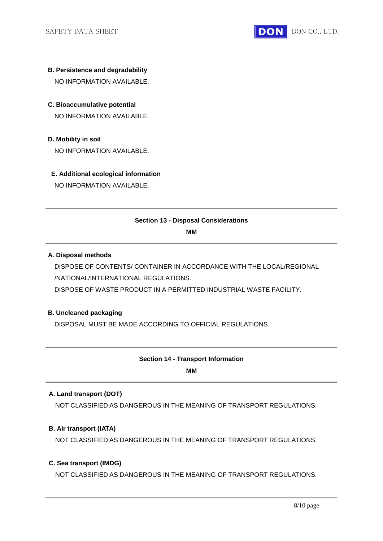

- **B. Persistence and degradability** NO INFORMATION AVAILABLE.
- **C. Bioaccumulative potential** NO INFORMATION AVAILABLE.
- **D. Mobility in soil**

NO INFORMATION AVAILABLE.

#### **E. Additional ecological information**

NO INFORMATION AVAILABLE.

#### **Section 13 - Disposal Considerations**

**MM**

#### **A. Disposal methods**

DISPOSE OF CONTENTS/ CONTAINER IN ACCORDANCE WITH THE LOCAL/REGIONAL /NATIONAL/INTERNATIONAL REGULATIONS.

DISPOSE OF WASTE PRODUCT IN A PERMITTED INDUSTRIAL WASTE FACILITY.

### **B. Uncleaned packaging**

DISPOSAL MUST BE MADE ACCORDING TO OFFICIAL REGULATIONS.

## **Section 14 - Transport Information**

**MM**

#### **A. Land transport (DOT)**

NOT CLASSIFIED AS DANGEROUS IN THE MEANING OF TRANSPORT REGULATIONS.

#### **B. Air transport (IATA)**

NOT CLASSIFIED AS DANGEROUS IN THE MEANING OF TRANSPORT REGULATIONS.

#### **C. Sea transport (IMDG)**

NOT CLASSIFIED AS DANGEROUS IN THE MEANING OF TRANSPORT REGULATIONS.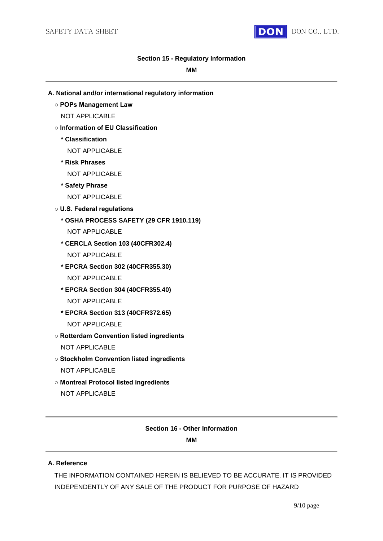

#### **Section 15 - Regulatory Information**

#### **MM**

- **A. National and/or international regulatory information**
	- **POPs Management Law** NOT APPLICABLE
	- **Information of EU Classification**
		- **\* Classification**
			- NOT APPLICABLE
		- **\* Risk Phrases**
			- NOT APPLICABLE
		- **\* Safety Phrase**
			- NOT APPLICABLE
	- **U.S. Federal regulations**
		- **\* OSHA PROCESS SAFETY (29 CFR 1910.119)**
			- NOT APPLICABLE
		- **\* CERCLA Section 103 (40CFR302.4)** NOT APPLICABLE
		- **\* EPCRA Section 302 (40CFR355.30)** NOT APPLICABLE
		- **\* EPCRA Section 304 (40CFR355.40)** NOT APPLICABLE
		- **\* EPCRA Section 313 (40CFR372.65)** NOT APPLICABLE
	- **Rotterdam Convention listed ingredients** NOT APPLICABLE
	- **Stockholm Convention listed ingredients** NOT APPLICABLE
	- **Montreal Protocol listed ingredients** NOT APPLICABLE

## **Section 16 - Other Information**

#### **MM**

#### **A. Reference**

THE INFORMATION CONTAINED HEREIN IS BELIEVED TO BE ACCURATE. IT IS PROVIDED INDEPENDENTLY OF ANY SALE OF THE PRODUCT FOR PURPOSE OF HAZARD